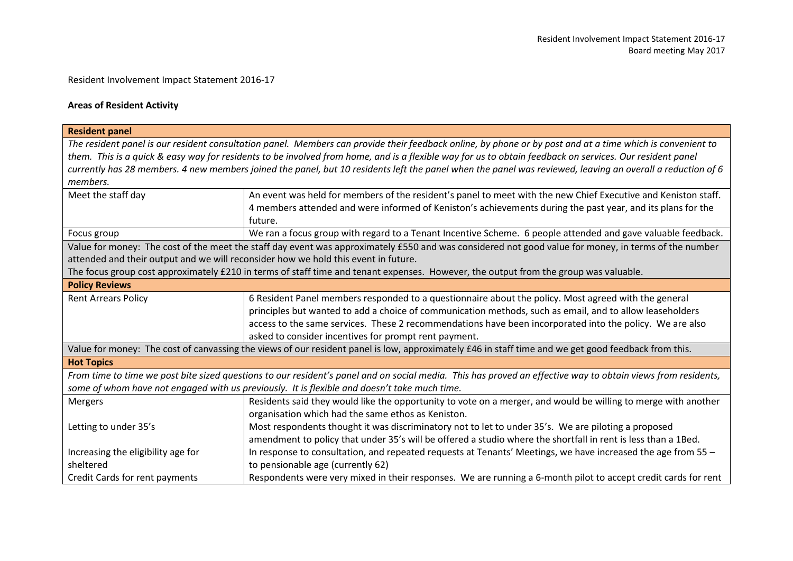## Resident Involvement Impact Statement 2016-17

## **Areas of Resident Activity**

| <b>Resident panel</b>                                                                                                                                      |                                                                                                                                                              |  |  |  |
|------------------------------------------------------------------------------------------------------------------------------------------------------------|--------------------------------------------------------------------------------------------------------------------------------------------------------------|--|--|--|
|                                                                                                                                                            | The resident panel is our resident consultation panel. Members can provide their feedback online, by phone or by post and at a time which is convenient to   |  |  |  |
| them. This is a quick & easy way for residents to be involved from home, and is a flexible way for us to obtain feedback on services. Our resident panel   |                                                                                                                                                              |  |  |  |
| currently has 28 members. 4 new members joined the panel, but 10 residents left the panel when the panel was reviewed, leaving an overall a reduction of 6 |                                                                                                                                                              |  |  |  |
| members.                                                                                                                                                   |                                                                                                                                                              |  |  |  |
| Meet the staff day                                                                                                                                         | An event was held for members of the resident's panel to meet with the new Chief Executive and Keniston staff.                                               |  |  |  |
|                                                                                                                                                            | 4 members attended and were informed of Keniston's achievements during the past year, and its plans for the                                                  |  |  |  |
|                                                                                                                                                            | future.                                                                                                                                                      |  |  |  |
| Focus group                                                                                                                                                | We ran a focus group with regard to a Tenant Incentive Scheme. 6 people attended and gave valuable feedback.                                                 |  |  |  |
|                                                                                                                                                            | Value for money: The cost of the meet the staff day event was approximately £550 and was considered not good value for money, in terms of the number         |  |  |  |
|                                                                                                                                                            | attended and their output and we will reconsider how we hold this event in future.                                                                           |  |  |  |
|                                                                                                                                                            | The focus group cost approximately £210 in terms of staff time and tenant expenses. However, the output from the group was valuable.                         |  |  |  |
| <b>Policy Reviews</b>                                                                                                                                      |                                                                                                                                                              |  |  |  |
| <b>Rent Arrears Policy</b>                                                                                                                                 | 6 Resident Panel members responded to a questionnaire about the policy. Most agreed with the general                                                         |  |  |  |
|                                                                                                                                                            | principles but wanted to add a choice of communication methods, such as email, and to allow leaseholders                                                     |  |  |  |
|                                                                                                                                                            | access to the same services. These 2 recommendations have been incorporated into the policy. We are also                                                     |  |  |  |
|                                                                                                                                                            | asked to consider incentives for prompt rent payment.                                                                                                        |  |  |  |
|                                                                                                                                                            | Value for money: The cost of canvassing the views of our resident panel is low, approximately £46 in staff time and we get good feedback from this.          |  |  |  |
| <b>Hot Topics</b>                                                                                                                                          |                                                                                                                                                              |  |  |  |
|                                                                                                                                                            | From time to time we post bite sized questions to our resident's panel and on social media. This has proved an effective way to obtain views from residents, |  |  |  |
|                                                                                                                                                            | some of whom have not engaged with us previously. It is flexible and doesn't take much time.                                                                 |  |  |  |
| <b>Mergers</b>                                                                                                                                             | Residents said they would like the opportunity to vote on a merger, and would be willing to merge with another                                               |  |  |  |
|                                                                                                                                                            | organisation which had the same ethos as Keniston.                                                                                                           |  |  |  |
| Letting to under 35's                                                                                                                                      | Most respondents thought it was discriminatory not to let to under 35's. We are piloting a proposed                                                          |  |  |  |
|                                                                                                                                                            | amendment to policy that under 35's will be offered a studio where the shortfall in rent is less than a 1Bed.                                                |  |  |  |
| Increasing the eligibility age for                                                                                                                         | In response to consultation, and repeated requests at Tenants' Meetings, we have increased the age from 55 -                                                 |  |  |  |
| sheltered                                                                                                                                                  | to pensionable age (currently 62)                                                                                                                            |  |  |  |
| Credit Cards for rent payments                                                                                                                             | Respondents were very mixed in their responses. We are running a 6-month pilot to accept credit cards for rent                                               |  |  |  |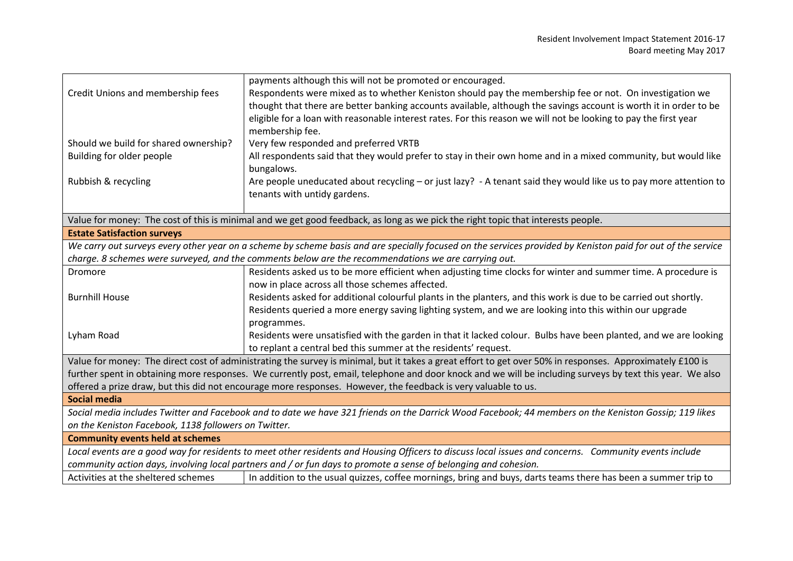|                                                                                                                                                       | payments although this will not be promoted or encouraged.                                                                                                   |  |  |
|-------------------------------------------------------------------------------------------------------------------------------------------------------|--------------------------------------------------------------------------------------------------------------------------------------------------------------|--|--|
| Credit Unions and membership fees                                                                                                                     | Respondents were mixed as to whether Keniston should pay the membership fee or not. On investigation we                                                      |  |  |
|                                                                                                                                                       | thought that there are better banking accounts available, although the savings account is worth it in order to be                                            |  |  |
|                                                                                                                                                       | eligible for a loan with reasonable interest rates. For this reason we will not be looking to pay the first year                                             |  |  |
|                                                                                                                                                       | membership fee.                                                                                                                                              |  |  |
| Should we build for shared ownership?                                                                                                                 | Very few responded and preferred VRTB                                                                                                                        |  |  |
| Building for older people                                                                                                                             | All respondents said that they would prefer to stay in their own home and in a mixed community, but would like                                               |  |  |
|                                                                                                                                                       | bungalows.                                                                                                                                                   |  |  |
| Rubbish & recycling                                                                                                                                   | Are people uneducated about recycling - or just lazy? - A tenant said they would like us to pay more attention to                                            |  |  |
|                                                                                                                                                       | tenants with untidy gardens.                                                                                                                                 |  |  |
|                                                                                                                                                       |                                                                                                                                                              |  |  |
|                                                                                                                                                       | Value for money: The cost of this is minimal and we get good feedback, as long as we pick the right topic that interests people.                             |  |  |
| <b>Estate Satisfaction surveys</b>                                                                                                                    |                                                                                                                                                              |  |  |
|                                                                                                                                                       | We carry out surveys every other year on a scheme by scheme basis and are specially focused on the services provided by Keniston paid for out of the service |  |  |
|                                                                                                                                                       | charge. 8 schemes were surveyed, and the comments below are the recommendations we are carrying out.                                                         |  |  |
| Dromore                                                                                                                                               | Residents asked us to be more efficient when adjusting time clocks for winter and summer time. A procedure is                                                |  |  |
|                                                                                                                                                       | now in place across all those schemes affected.                                                                                                              |  |  |
| <b>Burnhill House</b>                                                                                                                                 | Residents asked for additional colourful plants in the planters, and this work is due to be carried out shortly.                                             |  |  |
|                                                                                                                                                       | Residents queried a more energy saving lighting system, and we are looking into this within our upgrade                                                      |  |  |
|                                                                                                                                                       | programmes.                                                                                                                                                  |  |  |
| Lyham Road                                                                                                                                            | Residents were unsatisfied with the garden in that it lacked colour. Bulbs have been planted, and we are looking                                             |  |  |
|                                                                                                                                                       | to replant a central bed this summer at the residents' request.                                                                                              |  |  |
|                                                                                                                                                       | Value for money: The direct cost of administrating the survey is minimal, but it takes a great effort to get over 50% in responses. Approximately £100 is    |  |  |
|                                                                                                                                                       | further spent in obtaining more responses. We currently post, email, telephone and door knock and we will be including surveys by text this year. We also    |  |  |
|                                                                                                                                                       | offered a prize draw, but this did not encourage more responses. However, the feedback is very valuable to us.                                               |  |  |
| <b>Social media</b>                                                                                                                                   |                                                                                                                                                              |  |  |
|                                                                                                                                                       | Social media includes Twitter and Facebook and to date we have 321 friends on the Darrick Wood Facebook; 44 members on the Keniston Gossip; 119 likes        |  |  |
| on the Keniston Facebook, 1138 followers on Twitter.                                                                                                  |                                                                                                                                                              |  |  |
| <b>Community events held at schemes</b>                                                                                                               |                                                                                                                                                              |  |  |
| Local events are a good way for residents to meet other residents and Housing Officers to discuss local issues and concerns. Community events include |                                                                                                                                                              |  |  |
| community action days, involving local partners and / or fun days to promote a sense of belonging and cohesion.                                       |                                                                                                                                                              |  |  |
| Activities at the sheltered schemes                                                                                                                   | In addition to the usual quizzes, coffee mornings, bring and buys, darts teams there has been a summer trip to                                               |  |  |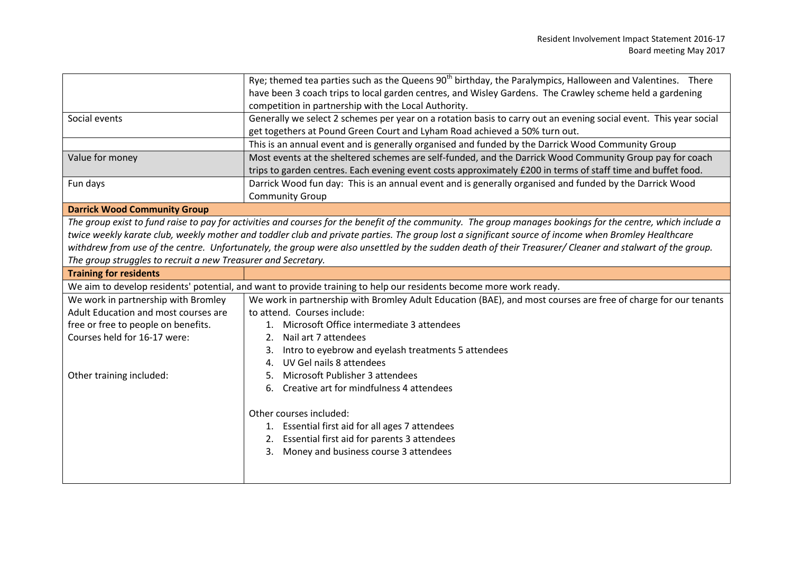|                                                                                                                                                          | Rye; themed tea parties such as the Queens 90 <sup>th</sup> birthday, the Paralympics, Halloween and Valentines. There                                       |  |  |  |
|----------------------------------------------------------------------------------------------------------------------------------------------------------|--------------------------------------------------------------------------------------------------------------------------------------------------------------|--|--|--|
|                                                                                                                                                          | have been 3 coach trips to local garden centres, and Wisley Gardens. The Crawley scheme held a gardening                                                     |  |  |  |
|                                                                                                                                                          | competition in partnership with the Local Authority.                                                                                                         |  |  |  |
| Social events                                                                                                                                            | Generally we select 2 schemes per year on a rotation basis to carry out an evening social event. This year social                                            |  |  |  |
|                                                                                                                                                          | get togethers at Pound Green Court and Lyham Road achieved a 50% turn out.                                                                                   |  |  |  |
|                                                                                                                                                          | This is an annual event and is generally organised and funded by the Darrick Wood Community Group                                                            |  |  |  |
| Value for money                                                                                                                                          | Most events at the sheltered schemes are self-funded, and the Darrick Wood Community Group pay for coach                                                     |  |  |  |
|                                                                                                                                                          | trips to garden centres. Each evening event costs approximately £200 in terms of staff time and buffet food.                                                 |  |  |  |
| Fun days                                                                                                                                                 | Darrick Wood fun day: This is an annual event and is generally organised and funded by the Darrick Wood                                                      |  |  |  |
|                                                                                                                                                          | <b>Community Group</b>                                                                                                                                       |  |  |  |
| <b>Darrick Wood Community Group</b>                                                                                                                      |                                                                                                                                                              |  |  |  |
|                                                                                                                                                          | The group exist to fund raise to pay for activities and courses for the benefit of the community. The group manages bookings for the centre, which include a |  |  |  |
|                                                                                                                                                          | twice weekly karate club, weekly mother and toddler club and private parties. The group lost a significant source of income when Bromley Healthcare          |  |  |  |
| withdrew from use of the centre. Unfortunately, the group were also unsettled by the sudden death of their Treasurer/ Cleaner and stalwart of the group. |                                                                                                                                                              |  |  |  |
| The group struggles to recruit a new Treasurer and Secretary.                                                                                            |                                                                                                                                                              |  |  |  |
| <b>Training for residents</b>                                                                                                                            |                                                                                                                                                              |  |  |  |
|                                                                                                                                                          |                                                                                                                                                              |  |  |  |
|                                                                                                                                                          | We aim to develop residents' potential, and want to provide training to help our residents become more work ready.                                           |  |  |  |
| We work in partnership with Bromley                                                                                                                      | We work in partnership with Bromley Adult Education (BAE), and most courses are free of charge for our tenants                                               |  |  |  |
| Adult Education and most courses are                                                                                                                     | to attend. Courses include:                                                                                                                                  |  |  |  |
| free or free to people on benefits.                                                                                                                      | Microsoft Office intermediate 3 attendees                                                                                                                    |  |  |  |
| Courses held for 16-17 were:                                                                                                                             | Nail art 7 attendees<br>2.                                                                                                                                   |  |  |  |
|                                                                                                                                                          | Intro to eyebrow and eyelash treatments 5 attendees<br>3.                                                                                                    |  |  |  |
|                                                                                                                                                          | UV Gel nails 8 attendees<br>4.                                                                                                                               |  |  |  |
| Other training included:                                                                                                                                 | Microsoft Publisher 3 attendees                                                                                                                              |  |  |  |
|                                                                                                                                                          | Creative art for mindfulness 4 attendees<br>6.                                                                                                               |  |  |  |
|                                                                                                                                                          |                                                                                                                                                              |  |  |  |
|                                                                                                                                                          | Other courses included:                                                                                                                                      |  |  |  |
|                                                                                                                                                          | 1. Essential first aid for all ages 7 attendees                                                                                                              |  |  |  |
|                                                                                                                                                          | 2. Essential first aid for parents 3 attendees                                                                                                               |  |  |  |
|                                                                                                                                                          | 3. Money and business course 3 attendees                                                                                                                     |  |  |  |
|                                                                                                                                                          |                                                                                                                                                              |  |  |  |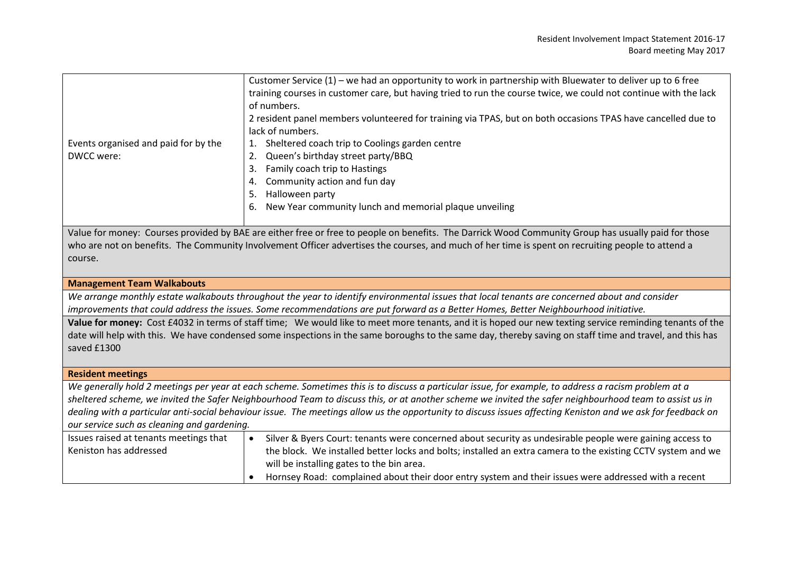|                                                                                                                                                          | Customer Service (1) - we had an opportunity to work in partnership with Bluewater to deliver up to 6 free                                                   |  |  |
|----------------------------------------------------------------------------------------------------------------------------------------------------------|--------------------------------------------------------------------------------------------------------------------------------------------------------------|--|--|
|                                                                                                                                                          | training courses in customer care, but having tried to run the course twice, we could not continue with the lack                                             |  |  |
|                                                                                                                                                          | of numbers.                                                                                                                                                  |  |  |
|                                                                                                                                                          | 2 resident panel members volunteered for training via TPAS, but on both occasions TPAS have cancelled due to                                                 |  |  |
|                                                                                                                                                          | lack of numbers.                                                                                                                                             |  |  |
| Events organised and paid for by the                                                                                                                     | Sheltered coach trip to Coolings garden centre<br>1.                                                                                                         |  |  |
| DWCC were:                                                                                                                                               | Queen's birthday street party/BBQ<br>2.                                                                                                                      |  |  |
|                                                                                                                                                          | Family coach trip to Hastings<br>3.                                                                                                                          |  |  |
|                                                                                                                                                          | Community action and fun day<br>4.                                                                                                                           |  |  |
|                                                                                                                                                          | Halloween party<br>5.                                                                                                                                        |  |  |
|                                                                                                                                                          | New Year community lunch and memorial plaque unveiling<br>6.                                                                                                 |  |  |
|                                                                                                                                                          |                                                                                                                                                              |  |  |
|                                                                                                                                                          | Value for money: Courses provided by BAE are either free or free to people on benefits. The Darrick Wood Community Group has usually paid for those          |  |  |
| who are not on benefits. The Community Involvement Officer advertises the courses, and much of her time is spent on recruiting people to attend a        |                                                                                                                                                              |  |  |
| course.                                                                                                                                                  |                                                                                                                                                              |  |  |
|                                                                                                                                                          |                                                                                                                                                              |  |  |
| <b>Management Team Walkabouts</b>                                                                                                                        |                                                                                                                                                              |  |  |
|                                                                                                                                                          | We arrange monthly estate walkabouts throughout the year to identify environmental issues that local tenants are concerned about and consider                |  |  |
|                                                                                                                                                          | improvements that could address the issues. Some recommendations are put forward as a Better Homes, Better Neighbourhood initiative.                         |  |  |
|                                                                                                                                                          | Value for money: Cost £4032 in terms of staff time; We would like to meet more tenants, and it is hoped our new texting service reminding tenants of the     |  |  |
| date will help with this. We have condensed some inspections in the same boroughs to the same day, thereby saving on staff time and travel, and this has |                                                                                                                                                              |  |  |
| saved £1300                                                                                                                                              |                                                                                                                                                              |  |  |
|                                                                                                                                                          |                                                                                                                                                              |  |  |
| <b>Resident meetings</b>                                                                                                                                 |                                                                                                                                                              |  |  |
|                                                                                                                                                          | We generally hold 2 meetings per year at each scheme. Sometimes this is to discuss a particular issue, for example, to address a racism problem at a         |  |  |
|                                                                                                                                                          | sheltered scheme, we invited the Safer Neighbourhood Team to discuss this, or at another scheme we invited the safer neighbourhood team to assist us in      |  |  |
|                                                                                                                                                          | dealing with a particular anti-social behaviour issue. The meetings allow us the opportunity to discuss issues affecting Keniston and we ask for feedback on |  |  |
| our service such as cleaning and gardening.                                                                                                              |                                                                                                                                                              |  |  |

| Issues raised at tenants meetings that | Silver & Byers Court: tenants were concerned about security as undesirable people were gaining access to     |  |  |
|----------------------------------------|--------------------------------------------------------------------------------------------------------------|--|--|
| Keniston has addressed                 | the block. We installed better locks and bolts; installed an extra camera to the existing CCTV system and we |  |  |
|                                        | will be installing gates to the bin area.                                                                    |  |  |
|                                        | Hornsey Road: complained about their door entry system and their issues were addressed with a recent         |  |  |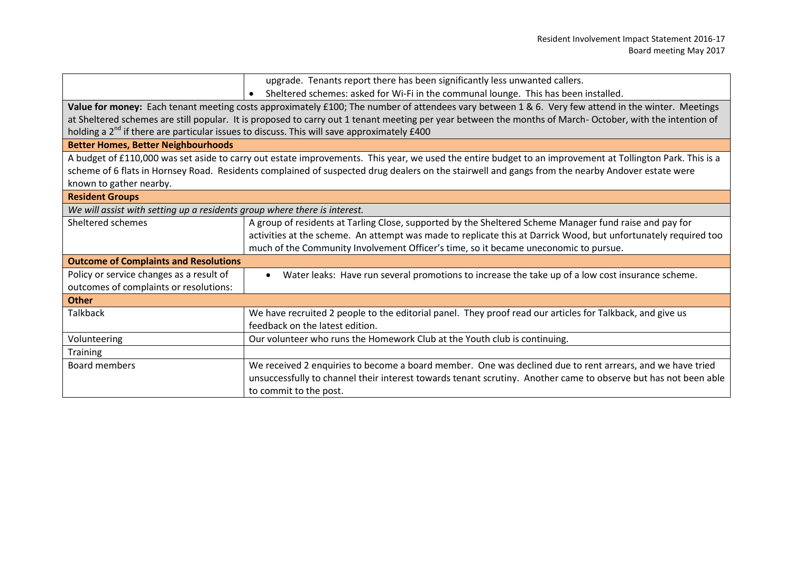|                                                                                                                                                          | upgrade. Tenants report there has been significantly less unwanted callers.                                                                               |  |  |  |  |
|----------------------------------------------------------------------------------------------------------------------------------------------------------|-----------------------------------------------------------------------------------------------------------------------------------------------------------|--|--|--|--|
|                                                                                                                                                          | Sheltered schemes: asked for Wi-Fi in the communal lounge. This has been installed.                                                                       |  |  |  |  |
| Value for money: Each tenant meeting costs approximately £100; The number of attendees vary between 1 & 6. Very few attend in the winter. Meetings       |                                                                                                                                                           |  |  |  |  |
| at Sheltered schemes are still popular. It is proposed to carry out 1 tenant meeting per year between the months of March-October, with the intention of |                                                                                                                                                           |  |  |  |  |
| holding a 2 <sup>nd</sup> if there are particular issues to discuss. This will save approximately £400                                                   |                                                                                                                                                           |  |  |  |  |
| <b>Better Homes, Better Neighbourhoods</b>                                                                                                               |                                                                                                                                                           |  |  |  |  |
|                                                                                                                                                          | A budget of £110,000 was set aside to carry out estate improvements. This year, we used the entire budget to an improvement at Tollington Park. This is a |  |  |  |  |
| scheme of 6 flats in Hornsey Road. Residents complained of suspected drug dealers on the stairwell and gangs from the nearby Andover estate were         |                                                                                                                                                           |  |  |  |  |
| known to gather nearby.                                                                                                                                  |                                                                                                                                                           |  |  |  |  |
| <b>Resident Groups</b>                                                                                                                                   |                                                                                                                                                           |  |  |  |  |
| We will assist with setting up a residents group where there is interest.                                                                                |                                                                                                                                                           |  |  |  |  |
| Sheltered schemes                                                                                                                                        | A group of residents at Tarling Close, supported by the Sheltered Scheme Manager fund raise and pay for                                                   |  |  |  |  |
|                                                                                                                                                          | activities at the scheme. An attempt was made to replicate this at Darrick Wood, but unfortunately required too                                           |  |  |  |  |
|                                                                                                                                                          | much of the Community Involvement Officer's time, so it became uneconomic to pursue.                                                                      |  |  |  |  |
| <b>Outcome of Complaints and Resolutions</b>                                                                                                             |                                                                                                                                                           |  |  |  |  |
| Policy or service changes as a result of                                                                                                                 | Water leaks: Have run several promotions to increase the take up of a low cost insurance scheme.<br>$\bullet$                                             |  |  |  |  |
| outcomes of complaints or resolutions:                                                                                                                   |                                                                                                                                                           |  |  |  |  |
| <b>Other</b>                                                                                                                                             |                                                                                                                                                           |  |  |  |  |
| <b>Talkback</b>                                                                                                                                          | We have recruited 2 people to the editorial panel. They proof read our articles for Talkback, and give us                                                 |  |  |  |  |
|                                                                                                                                                          | feedback on the latest edition.                                                                                                                           |  |  |  |  |
| Volunteering                                                                                                                                             | Our volunteer who runs the Homework Club at the Youth club is continuing.                                                                                 |  |  |  |  |
| <b>Training</b>                                                                                                                                          |                                                                                                                                                           |  |  |  |  |
| <b>Board members</b>                                                                                                                                     | We received 2 enquiries to become a board member. One was declined due to rent arrears, and we have tried                                                 |  |  |  |  |
|                                                                                                                                                          | unsuccessfully to channel their interest towards tenant scrutiny. Another came to observe but has not been able                                           |  |  |  |  |
|                                                                                                                                                          | to commit to the post.                                                                                                                                    |  |  |  |  |